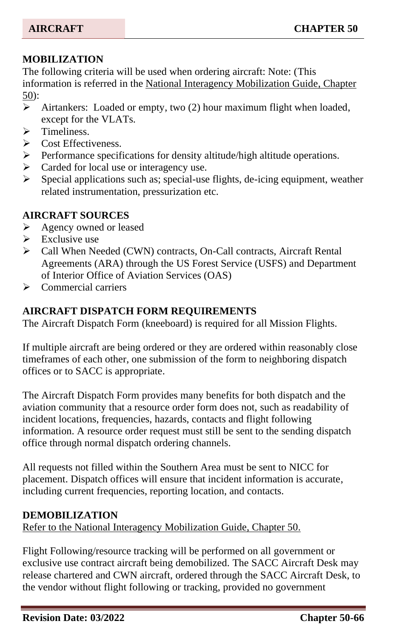# **MOBILIZATION**

The following criteria will be used when ordering aircraft: Note: (This information is referred in the National Interagency Mobilization Guide, Chapter 50):

- ➢ Airtankers: Loaded or empty, two (2) hour maximum flight when loaded, except for the VLATs.
- ➢ Timeliness.
- Cost Effectiveness.
- ➢ Performance specifications for density altitude/high altitude operations.
- ➢ Carded for local use or interagency use.
- ➢ Special applications such as; special-use flights, de-icing equipment, weather related instrumentation, pressurization etc.

# **AIRCRAFT SOURCES**

- ➢ Agency owned or leased
- $\triangleright$  Exclusive use
- ➢ Call When Needed (CWN) contracts, On-Call contracts, Aircraft Rental Agreements (ARA) through the US Forest Service (USFS) and Department of Interior Office of Aviation Services (OAS)
- ➢ Commercial carriers

# **AIRCRAFT DISPATCH FORM REQUIREMENTS**

The Aircraft Dispatch Form (kneeboard) is required for all Mission Flights.

If multiple aircraft are being ordered or they are ordered within reasonably close timeframes of each other, one submission of the form to neighboring dispatch offices or to SACC is appropriate.

The Aircraft Dispatch Form provides many benefits for both dispatch and the aviation community that a resource order form does not, such as readability of incident locations, frequencies, hazards, contacts and flight following information. A resource order request must still be sent to the sending dispatch office through normal dispatch ordering channels.

All requests not filled within the Southern Area must be sent to NICC for placement. Dispatch offices will ensure that incident information is accurate, including current frequencies, reporting location, and contacts.

## **DEMOBILIZATION**

Refer to the National Interagency Mobilization Guide, Chapter 50.

Flight Following/resource tracking will be performed on all government or exclusive use contract aircraft being demobilized. The SACC Aircraft Desk may release chartered and CWN aircraft, ordered through the SACC Aircraft Desk, to the vendor without flight following or tracking, provided no government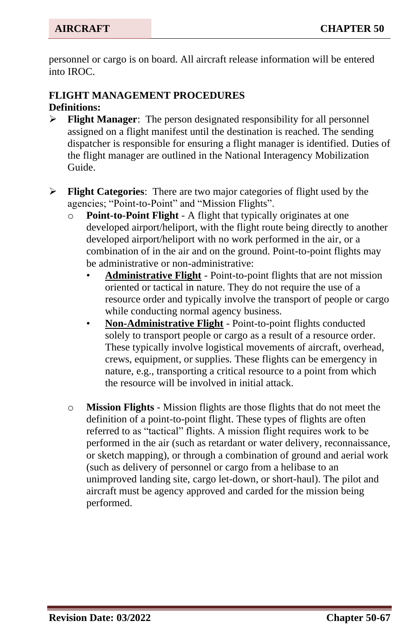personnel or cargo is on board. All aircraft release information will be entered into IROC.

# **FLIGHT MANAGEMENT PROCEDURES Definitions:**

- ➢ **Flight Manager**: The person designated responsibility for all personnel assigned on a flight manifest until the destination is reached. The sending dispatcher is responsible for ensuring a flight manager is identified. Duties of the flight manager are outlined in the National Interagency Mobilization Guide.
- ➢ **Flight Categories**: There are two major categories of flight used by the agencies; "Point-to-Point" and "Mission Flights".
	- o **Point-to-Point Flight** A flight that typically originates at one developed airport/heliport, with the flight route being directly to another developed airport/heliport with no work performed in the air, or a combination of in the air and on the ground. Point-to-point flights may be administrative or non-administrative:
		- **Administrative Flight** Point-to-point flights that are not mission oriented or tactical in nature. They do not require the use of a resource order and typically involve the transport of people or cargo while conducting normal agency business.
		- **Non-Administrative Flight** Point-to-point flights conducted solely to transport people or cargo as a result of a resource order. These typically involve logistical movements of aircraft, overhead, crews, equipment, or supplies. These flights can be emergency in nature, e.g., transporting a critical resource to a point from which the resource will be involved in initial attack.
	- o **Mission Flights** Mission flights are those flights that do not meet the definition of a point-to-point flight. These types of flights are often referred to as "tactical" flights. A mission flight requires work to be performed in the air (such as retardant or water delivery, reconnaissance, or sketch mapping), or through a combination of ground and aerial work (such as delivery of personnel or cargo from a helibase to an unimproved landing site, cargo let-down, or short-haul). The pilot and aircraft must be agency approved and carded for the mission being performed.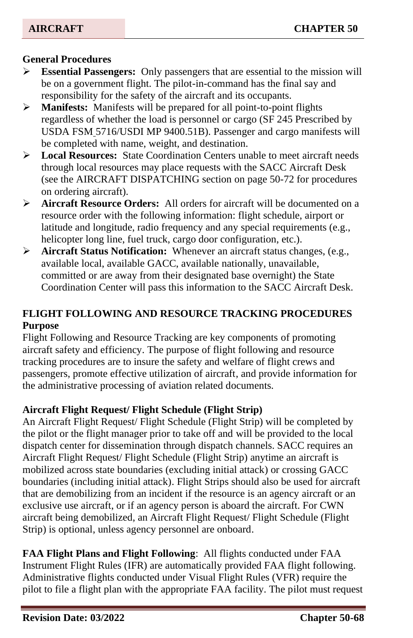## **General Procedures**

- ➢ **Essential Passengers:** Only passengers that are essential to the mission will be on a government flight. The pilot-in-command has the final say and responsibility for the safety of the aircraft and its occupants.
- ➢ **Manifests:** Manifests will be prepared for all point-to-point flights regardless of whether the load is personnel or cargo (SF 245 Prescribed by USDA FSM 5716/USDI MP 9400.51B). Passenger and cargo manifests will be completed with name, weight, and destination.
- ➢ **Local Resources:** State Coordination Centers unable to meet aircraft needs through local resources may place requests with the SACC Aircraft Desk (see the AIRCRAFT DISPATCHING section on page 50-72 for procedures on ordering aircraft).
- ➢ **Aircraft Resource Orders:** All orders for aircraft will be documented on a resource order with the following information: flight schedule, airport or latitude and longitude, radio frequency and any special requirements (e.g., helicopter long line, fuel truck, cargo door configuration, etc.).
- ➢ **Aircraft Status Notification:** Whenever an aircraft status changes, (e.g., available local, available GACC, available nationally, unavailable, committed or are away from their designated base overnight) the State Coordination Center will pass this information to the SACC Aircraft Desk.

# **FLIGHT FOLLOWING AND RESOURCE TRACKING PROCEDURES Purpose**

Flight Following and Resource Tracking are key components of promoting aircraft safety and efficiency. The purpose of flight following and resource tracking procedures are to insure the safety and welfare of flight crews and passengers, promote effective utilization of aircraft, and provide information for the administrative processing of aviation related documents.

## **Aircraft Flight Request/ Flight Schedule (Flight Strip)**

An Aircraft Flight Request/ Flight Schedule (Flight Strip) will be completed by the pilot or the flight manager prior to take off and will be provided to the local dispatch center for dissemination through dispatch channels. SACC requires an Aircraft Flight Request/ Flight Schedule (Flight Strip) anytime an aircraft is mobilized across state boundaries (excluding initial attack) or crossing GACC boundaries (including initial attack). Flight Strips should also be used for aircraft that are demobilizing from an incident if the resource is an agency aircraft or an exclusive use aircraft, or if an agency person is aboard the aircraft. For CWN aircraft being demobilized, an Aircraft Flight Request/ Flight Schedule (Flight Strip) is optional, unless agency personnel are onboard.

**FAA Flight Plans and Flight Following**: All flights conducted under FAA Instrument Flight Rules (IFR) are automatically provided FAA flight following. Administrative flights conducted under Visual Flight Rules (VFR) require the pilot to file a flight plan with the appropriate FAA facility. The pilot must request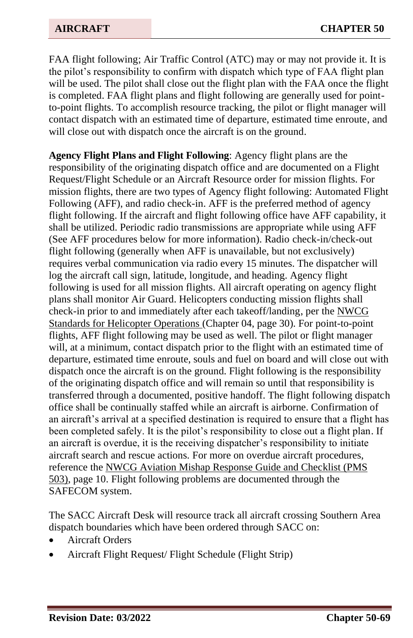FAA flight following; Air Traffic Control (ATC) may or may not provide it. It is the pilot's responsibility to confirm with dispatch which type of FAA flight plan will be used. The pilot shall close out the flight plan with the FAA once the flight is completed. FAA flight plans and flight following are generally used for pointto-point flights. To accomplish resource tracking, the pilot or flight manager will contact dispatch with an estimated time of departure, estimated time enroute, and will close out with dispatch once the aircraft is on the ground.

**Agency Flight Plans and Flight Following**: Agency flight plans are the responsibility of the originating dispatch office and are documented on a Flight Request/Flight Schedule or an Aircraft Resource order for mission flights. For mission flights, there are two types of Agency flight following: Automated Flight Following (AFF), and radio check-in. AFF is the preferred method of agency flight following. If the aircraft and flight following office have AFF capability, it shall be utilized. Periodic radio transmissions are appropriate while using AFF (See AFF procedures below for more information). Radio check-in/check-out flight following (generally when AFF is unavailable, but not exclusively) requires verbal communication via radio every 15 minutes. The dispatcher will log the aircraft call sign, latitude, longitude, and heading. Agency flight following is used for all mission flights. All aircraft operating on agency flight plans shall monitor Air Guard. Helicopters conducting mission flights shall check-in prior to and immediately after each takeoff/landing, per the NWCG Standards for Helicopter Operations (Chapter 04, page 30). For point-to-point flights, AFF flight following may be used as well. The pilot or flight manager will, at a minimum, contact dispatch prior to the flight with an estimated time of departure, estimated time enroute, souls and fuel on board and will close out with dispatch once the aircraft is on the ground. Flight following is the responsibility of the originating dispatch office and will remain so until that responsibility is transferred through a documented, positive handoff. The flight following dispatch office shall be continually staffed while an aircraft is airborne. Confirmation of an aircraft's arrival at a specified destination is required to ensure that a flight has been completed safely. It is the pilot's responsibility to close out a flight plan. If an aircraft is overdue, it is the receiving dispatcher's responsibility to initiate aircraft search and rescue actions. For more on overdue aircraft procedures, reference the NWCG Aviation Mishap Response Guide and Checklist (PMS 503), page 10. Flight following problems are documented through the SAFECOM system.

The SACC Aircraft Desk will resource track all aircraft crossing Southern Area dispatch boundaries which have been ordered through SACC on:

- Aircraft Orders
- Aircraft Flight Request/ Flight Schedule (Flight Strip)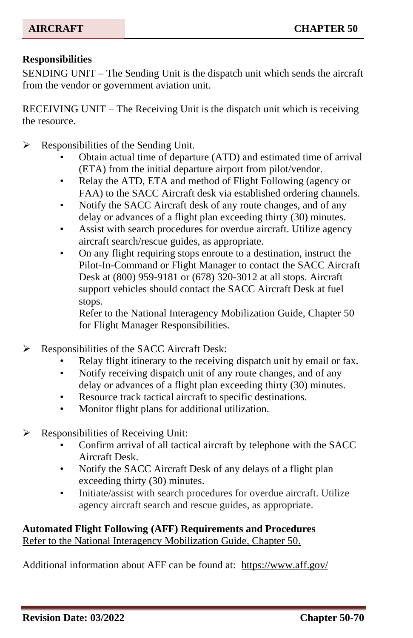#### **Responsibilities**

SENDING UNIT – The Sending Unit is the dispatch unit which sends the aircraft from the vendor or government aviation unit.

RECEIVING UNIT – The Receiving Unit is the dispatch unit which is receiving the resource.

- $\triangleright$  Responsibilities of the Sending Unit.
	- Obtain actual time of departure (ATD) and estimated time of arrival (ETA) from the initial departure airport from pilot/vendor.
	- Relay the ATD, ETA and method of Flight Following (agency or FAA) to the SACC Aircraft desk via established ordering channels.
	- Notify the SACC Aircraft desk of any route changes, and of any delay or advances of a flight plan exceeding thirty (30) minutes.
	- Assist with search procedures for overdue aircraft. Utilize agency aircraft search/rescue guides, as appropriate.
	- On any flight requiring stops enroute to a destination, instruct the Pilot-In-Command or Flight Manager to contact the SACC Aircraft Desk at (800) 959-9181 or (678) 320-3012 at all stops. Aircraft support vehicles should contact the SACC Aircraft Desk at fuel stops.

Refer to the National Interagency Mobilization Guide, Chapter 50 for Flight Manager Responsibilities.

- ➢ Responsibilities of the SACC Aircraft Desk:
	- Relay flight itinerary to the receiving dispatch unit by email or fax.
	- Notify receiving dispatch unit of any route changes, and of any delay or advances of a flight plan exceeding thirty (30) minutes.
	- Resource track tactical aircraft to specific destinations.
	- Monitor flight plans for additional utilization.
- ➢ Responsibilities of Receiving Unit:
	- Confirm arrival of all tactical aircraft by telephone with the SACC Aircraft Desk.
	- Notify the SACC Aircraft Desk of any delays of a flight plan exceeding thirty (30) minutes.
	- Initiate/assist with search procedures for overdue aircraft. Utilize agency aircraft search and rescue guides, as appropriate.

## **Automated Flight Following (AFF) Requirements and Procedures** Refer to the National Interagency Mobilization Guide, Chapter 50.

Additional information about AFF can be found at: <https://www.aff.gov/>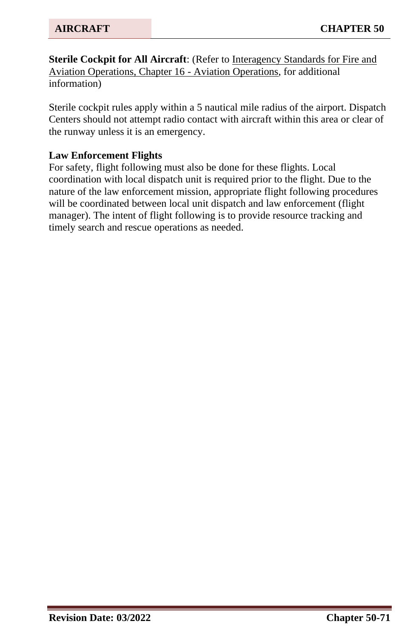**Sterile Cockpit for All Aircraft:** (Refer to Interagency Standards for Fire and Aviation Operations, Chapter 16 - Aviation Operations, for additional information)

Sterile cockpit rules apply within a 5 nautical mile radius of the airport. Dispatch Centers should not attempt radio contact with aircraft within this area or clear of the runway unless it is an emergency.

#### **Law Enforcement Flights**

For safety, flight following must also be done for these flights. Local coordination with local dispatch unit is required prior to the flight. Due to the nature of the law enforcement mission, appropriate flight following procedures will be coordinated between local unit dispatch and law enforcement (flight manager). The intent of flight following is to provide resource tracking and timely search and rescue operations as needed.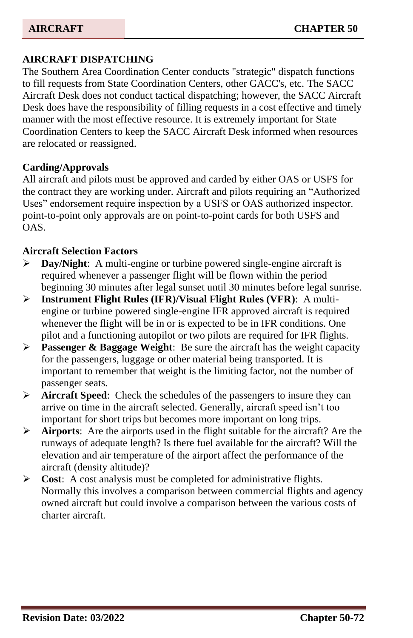## **AIRCRAFT DISPATCHING**

The Southern Area Coordination Center conducts "strategic" dispatch functions to fill requests from State Coordination Centers, other GACC's, etc. The SACC Aircraft Desk does not conduct tactical dispatching; however, the SACC Aircraft Desk does have the responsibility of filling requests in a cost effective and timely manner with the most effective resource. It is extremely important for State Coordination Centers to keep the SACC Aircraft Desk informed when resources are relocated or reassigned.

#### **Carding/Approvals**

All aircraft and pilots must be approved and carded by either OAS or USFS for the contract they are working under. Aircraft and pilots requiring an "Authorized Uses" endorsement require inspection by a USFS or OAS authorized inspector. point-to-point only approvals are on point-to-point cards for both USFS and OAS.

#### **Aircraft Selection Factors**

- ➢ **Day/Night**: A multi-engine or turbine powered single-engine aircraft is required whenever a passenger flight will be flown within the period beginning 30 minutes after legal sunset until 30 minutes before legal sunrise.
- ➢ **Instrument Flight Rules (IFR)/Visual Flight Rules (VFR)**: A multiengine or turbine powered single-engine IFR approved aircraft is required whenever the flight will be in or is expected to be in IFR conditions. One pilot and a functioning autopilot or two pilots are required for IFR flights.
- ➢ **Passenger & Baggage Weight**: Be sure the aircraft has the weight capacity for the passengers, luggage or other material being transported. It is important to remember that weight is the limiting factor, not the number of passenger seats.
- ➢ **Aircraft Speed**: Check the schedules of the passengers to insure they can arrive on time in the aircraft selected. Generally, aircraft speed isn't too important for short trips but becomes more important on long trips.
- ➢ **Airports**: Are the airports used in the flight suitable for the aircraft? Are the runways of adequate length? Is there fuel available for the aircraft? Will the elevation and air temperature of the airport affect the performance of the aircraft (density altitude)?
- ➢ **Cost**: A cost analysis must be completed for administrative flights. Normally this involves a comparison between commercial flights and agency owned aircraft but could involve a comparison between the various costs of charter aircraft.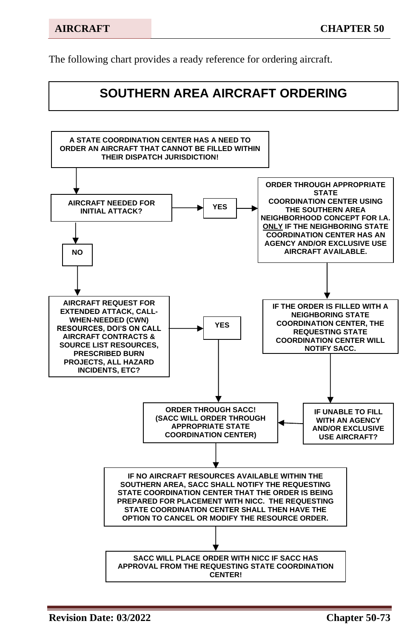The following chart provides a ready reference for ordering aircraft.

# **SOUTHERN AREA AIRCRAFT ORDERING**

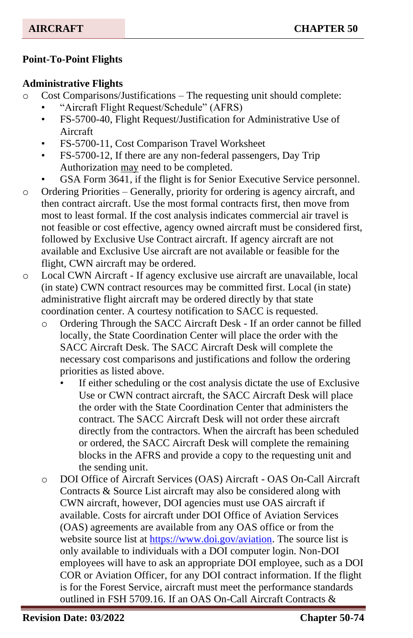# **Point-To-Point Flights**

## **Administrative Flights**

- Cost Comparisons/Justifications The requesting unit should complete:
	- "Aircraft Flight Request/Schedule" (AFRS)
	- FS-5700-40, Flight Request/Justification for Administrative Use of Aircraft
	- FS-5700-11, Cost Comparison Travel Worksheet
	- FS-5700-12, If there are any non-federal passengers, Day Trip Authorization may need to be completed.
	- GSA Form 3641, if the flight is for Senior Executive Service personnel.
- o Ordering Priorities Generally, priority for ordering is agency aircraft, and then contract aircraft. Use the most formal contracts first, then move from most to least formal. If the cost analysis indicates commercial air travel is not feasible or cost effective, agency owned aircraft must be considered first, followed by Exclusive Use Contract aircraft. If agency aircraft are not available and Exclusive Use aircraft are not available or feasible for the flight, CWN aircraft may be ordered.
- o Local CWN Aircraft If agency exclusive use aircraft are unavailable, local (in state) CWN contract resources may be committed first. Local (in state) administrative flight aircraft may be ordered directly by that state coordination center. A courtesy notification to SACC is requested.
	- o Ordering Through the SACC Aircraft Desk If an order cannot be filled locally, the State Coordination Center will place the order with the SACC Aircraft Desk. The SACC Aircraft Desk will complete the necessary cost comparisons and justifications and follow the ordering priorities as listed above.
		- If either scheduling or the cost analysis dictate the use of Exclusive Use or CWN contract aircraft, the SACC Aircraft Desk will place the order with the State Coordination Center that administers the contract. The SACC Aircraft Desk will not order these aircraft directly from the contractors. When the aircraft has been scheduled or ordered, the SACC Aircraft Desk will complete the remaining blocks in the AFRS and provide a copy to the requesting unit and the sending unit.
	- o DOI Office of Aircraft Services (OAS) Aircraft OAS On-Call Aircraft Contracts & Source List aircraft may also be considered along with CWN aircraft, however, DOI agencies must use OAS aircraft if available. Costs for aircraft under DOI Office of Aviation Services (OAS) agreements are available from any OAS office or from the website source list at [https://www.doi.gov/aviation.](https://www.doi.gov/aviation) The source list is only available to individuals with a DOI computer login. Non-DOI employees will have to ask an appropriate DOI employee, such as a DOI COR or Aviation Officer, for any DOI contract information. If the flight is for the Forest Service, aircraft must meet the performance standards outlined in FSH 5709.16. If an OAS On-Call Aircraft Contracts &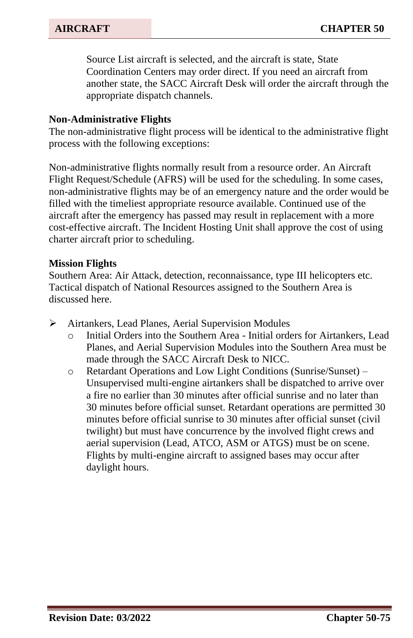Source List aircraft is selected, and the aircraft is state, State Coordination Centers may order direct. If you need an aircraft from another state, the SACC Aircraft Desk will order the aircraft through the appropriate dispatch channels.

#### **Non-Administrative Flights**

The non-administrative flight process will be identical to the administrative flight process with the following exceptions:

Non-administrative flights normally result from a resource order. An Aircraft Flight Request/Schedule (AFRS) will be used for the scheduling. In some cases, non-administrative flights may be of an emergency nature and the order would be filled with the timeliest appropriate resource available. Continued use of the aircraft after the emergency has passed may result in replacement with a more cost-effective aircraft. The Incident Hosting Unit shall approve the cost of using charter aircraft prior to scheduling.

#### **Mission Flights**

Southern Area: Air Attack, detection, reconnaissance, type III helicopters etc. Tactical dispatch of National Resources assigned to the Southern Area is discussed here.

- ➢ Airtankers, Lead Planes, Aerial Supervision Modules
	- o Initial Orders into the Southern Area Initial orders for Airtankers, Lead Planes, and Aerial Supervision Modules into the Southern Area must be made through the SACC Aircraft Desk to NICC.
	- o Retardant Operations and Low Light Conditions (Sunrise/Sunset) Unsupervised multi-engine airtankers shall be dispatched to arrive over a fire no earlier than 30 minutes after official sunrise and no later than 30 minutes before official sunset. Retardant operations are permitted 30 minutes before official sunrise to 30 minutes after official sunset (civil twilight) but must have concurrence by the involved flight crews and aerial supervision (Lead, ATCO, ASM or ATGS) must be on scene. Flights by multi-engine aircraft to assigned bases may occur after daylight hours.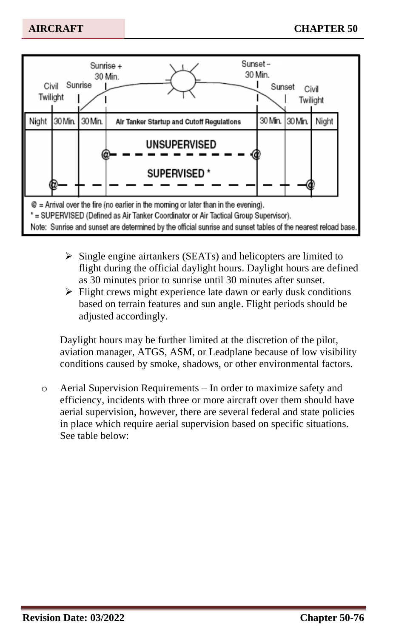

- ➢ Single engine airtankers (SEATs) and helicopters are limited to flight during the official daylight hours. Daylight hours are defined as 30 minutes prior to sunrise until 30 minutes after sunset.
- ➢ Flight crews might experience late dawn or early dusk conditions based on terrain features and sun angle. Flight periods should be adjusted accordingly.

Daylight hours may be further limited at the discretion of the pilot, aviation manager, ATGS, ASM, or Leadplane because of low visibility conditions caused by smoke, shadows, or other environmental factors.

o Aerial Supervision Requirements – In order to maximize safety and efficiency, incidents with three or more aircraft over them should have aerial supervision, however, there are several federal and state policies in place which require aerial supervision based on specific situations. See table below: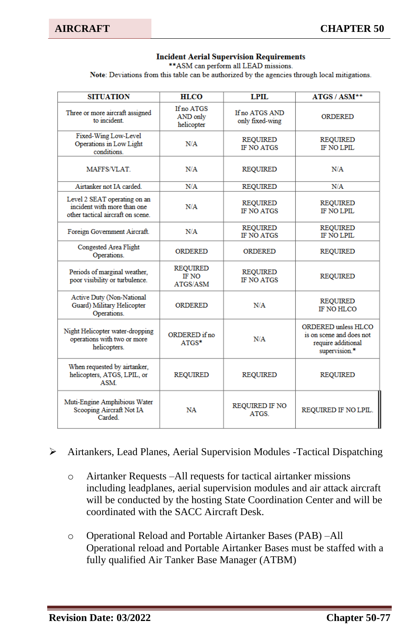#### **Incident Aerial Supervision Requirements**

\*\* ASM can perform all LEAD missions.

Note: Deviations from this table can be authorized by the agencies through local mitigations.

| <b>SITUATION</b>                                                                                 | <b>HLCO</b>                                 | <b>LPIL</b>                          | ATGS / ASM**                                                                                  |
|--------------------------------------------------------------------------------------------------|---------------------------------------------|--------------------------------------|-----------------------------------------------------------------------------------------------|
| Three or more aircraft assigned<br>to incident.                                                  | If no ATGS<br>AND only<br>helicopter        | If no ATGS AND<br>only fixed-wing    | ORDERED                                                                                       |
| Fixed-Wing Low-Level<br>Operations in Low Light<br>conditions                                    | N/A                                         | <b>REQUIRED</b><br><b>IF NO ATGS</b> | <b>REQUIRED</b><br><b>IF NO LPIL</b>                                                          |
| MAFFS/VLAT.                                                                                      | N/A                                         | <b>REQUIRED</b>                      | N/A                                                                                           |
| Airtanker not IA carded                                                                          | N/A                                         | <b>REQUIRED</b>                      | N/A                                                                                           |
| Level 2 SEAT operating on an<br>incident with more than one<br>other tactical aircraft on scene. | N/A                                         | <b>REQUIRED</b><br><b>IF NO ATGS</b> | <b>REQUIRED</b><br><b>IF NO LPIL</b>                                                          |
| Foreign Government Aircraft.                                                                     | N/A                                         | <b>REQUIRED</b><br><b>IF NO ATGS</b> | <b>REQUIRED</b><br>IF NO LPIL                                                                 |
| Congested Area Flight<br>Operations.                                                             | <b>ORDERED</b>                              | <b>ORDERED</b>                       | <b>REQUIRED</b>                                                                               |
| Periods of marginal weather.<br>poor visibility or turbulence.                                   | <b>REQUIRED</b><br><b>IF NO</b><br>ATGS/ASM | <b>REQUIRED</b><br><b>IF NO ATGS</b> | <b>REQUIRED</b>                                                                               |
| <b>Active Duty (Non-National</b><br>Guard) Military Helicopter<br>Operations.                    | ORDERED                                     | N/A                                  | <b>REQUIRED</b><br><b>IF NO HLCO</b>                                                          |
| Night Helicopter water-dropping<br>operations with two or more<br>helicopters.                   | ORDERED if no<br>$ATGS*$                    | N/A                                  | <b>ORDERED</b> unless HLCO<br>is on scene and does not<br>require additional<br>supervision.* |
| When requested by airtanker,<br>helicopters, ATGS, LPIL, or<br><b>ASM</b>                        | <b>REQUIRED</b>                             | <b>REQUIRED</b>                      | <b>REQUIRED</b>                                                                               |
| Muti-Engine Amphibious Water<br>Scooping Aircraft Not IA<br>Carded                               | NA                                          | <b>REQUIRED IF NO</b><br><b>ATGS</b> | REQUIRED IF NO LPIL.                                                                          |

#### ➢ Airtankers, Lead Planes, Aerial Supervision Modules -Tactical Dispatching

- o Airtanker Requests –All requests for tactical airtanker missions including leadplanes, aerial supervision modules and air attack aircraft will be conducted by the hosting State Coordination Center and will be coordinated with the SACC Aircraft Desk.
- o Operational Reload and Portable Airtanker Bases (PAB) –All Operational reload and Portable Airtanker Bases must be staffed with a fully qualified Air Tanker Base Manager (ATBM)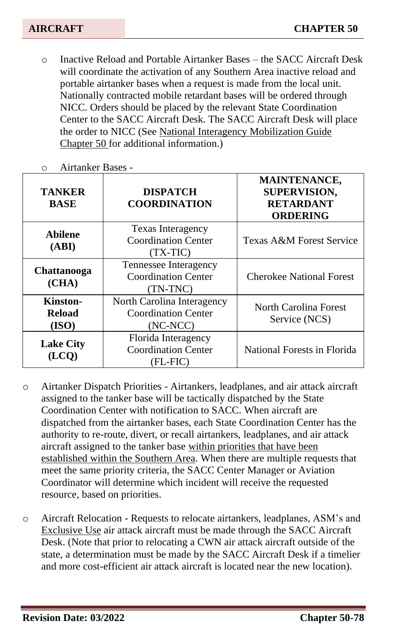o Inactive Reload and Portable Airtanker Bases – the SACC Aircraft Desk will coordinate the activation of any Southern Area inactive reload and portable airtanker bases when a request is made from the local unit. Nationally contracted mobile retardant bases will be ordered through NICC. Orders should be placed by the relevant State Coordination Center to the SACC Aircraft Desk. The SACC Aircraft Desk will place the order to NICC (See National Interagency Mobilization Guide Chapter 50 for additional information.)

| <b>TANKER</b><br><b>BASE</b>                                                             | <b>DISPATCH</b><br><b>COORDINATION</b>                          | <b>MAINTENANCE,</b><br><b>SUPERVISION,</b><br><b>RETARDANT</b><br><b>ORDERING</b> |  |
|------------------------------------------------------------------------------------------|-----------------------------------------------------------------|-----------------------------------------------------------------------------------|--|
| <b>Texas Interagency</b><br><b>Abilene</b><br>Coordination Center<br>(ABI)<br>$(TX-TIC)$ |                                                                 | Texas A&M Forest Service                                                          |  |
| Tennessee Interagency<br>Chattanooga<br>Coordination Center<br>(CHA)<br>(TN-TNC)         |                                                                 | <b>Cherokee National Forest</b>                                                   |  |
| Kinston-<br><b>Reload</b><br>(ISO)                                                       | North Carolina Interagency<br>Coordination Center<br>$(NC-NCC)$ | North Carolina Forest<br>Service (NCS)                                            |  |
| <b>Lake City</b>                                                                         | Florida Interagency<br><b>Coordination Center</b><br>(FL-FIC)   | National Forests in Florida                                                       |  |

o Airtanker Bases -

- o Airtanker Dispatch Priorities Airtankers, leadplanes, and air attack aircraft assigned to the tanker base will be tactically dispatched by the State Coordination Center with notification to SACC. When aircraft are dispatched from the airtanker bases, each State Coordination Center has the authority to re-route, divert, or recall airtankers, leadplanes, and air attack aircraft assigned to the tanker base within priorities that have been established within the Southern Area. When there are multiple requests that meet the same priority criteria, the SACC Center Manager or Aviation Coordinator will determine which incident will receive the requested resource, based on priorities.
- o Aircraft Relocation Requests to relocate airtankers, leadplanes, ASM's and Exclusive Use air attack aircraft must be made through the SACC Aircraft Desk. (Note that prior to relocating a CWN air attack aircraft outside of the state, a determination must be made by the SACC Aircraft Desk if a timelier and more cost-efficient air attack aircraft is located near the new location).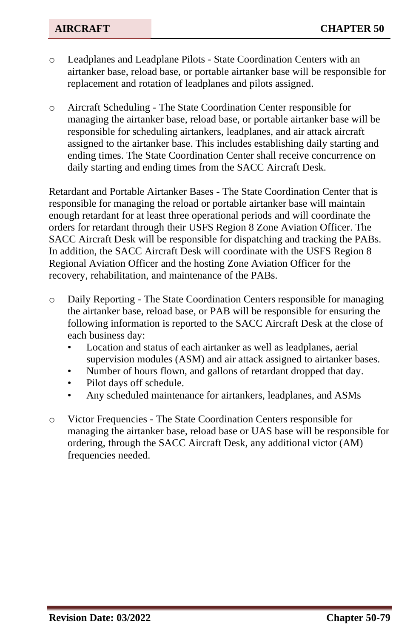- o Leadplanes and Leadplane Pilots State Coordination Centers with an airtanker base, reload base, or portable airtanker base will be responsible for replacement and rotation of leadplanes and pilots assigned.
- o Aircraft Scheduling The State Coordination Center responsible for managing the airtanker base, reload base, or portable airtanker base will be responsible for scheduling airtankers, leadplanes, and air attack aircraft assigned to the airtanker base. This includes establishing daily starting and ending times. The State Coordination Center shall receive concurrence on daily starting and ending times from the SACC Aircraft Desk.

Retardant and Portable Airtanker Bases - The State Coordination Center that is responsible for managing the reload or portable airtanker base will maintain enough retardant for at least three operational periods and will coordinate the orders for retardant through their USFS Region 8 Zone Aviation Officer. The SACC Aircraft Desk will be responsible for dispatching and tracking the PABs. In addition, the SACC Aircraft Desk will coordinate with the USFS Region 8 Regional Aviation Officer and the hosting Zone Aviation Officer for the recovery, rehabilitation, and maintenance of the PABs.

- o Daily Reporting The State Coordination Centers responsible for managing the airtanker base, reload base, or PAB will be responsible for ensuring the following information is reported to the SACC Aircraft Desk at the close of each business day:
	- Location and status of each airtanker as well as leadplanes, aerial supervision modules (ASM) and air attack assigned to airtanker bases.
	- Number of hours flown, and gallons of retardant dropped that day.
	- Pilot days off schedule.
	- Any scheduled maintenance for airtankers, leadplanes, and ASMs
- o Victor Frequencies The State Coordination Centers responsible for managing the airtanker base, reload base or UAS base will be responsible for ordering, through the SACC Aircraft Desk, any additional victor (AM) frequencies needed.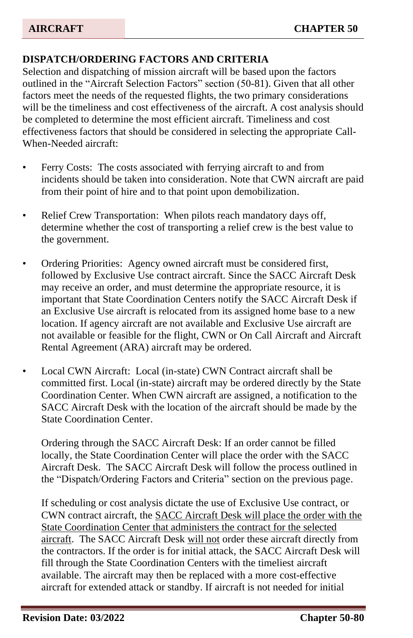# **DISPATCH/ORDERING FACTORS AND CRITERIA**

Selection and dispatching of mission aircraft will be based upon the factors outlined in the "Aircraft Selection Factors" section (50-81). Given that all other factors meet the needs of the requested flights, the two primary considerations will be the timeliness and cost effectiveness of the aircraft. A cost analysis should be completed to determine the most efficient aircraft. Timeliness and cost effectiveness factors that should be considered in selecting the appropriate Call-When-Needed aircraft:

- Ferry Costs: The costs associated with ferrying aircraft to and from incidents should be taken into consideration. Note that CWN aircraft are paid from their point of hire and to that point upon demobilization.
- Relief Crew Transportation: When pilots reach mandatory days off, determine whether the cost of transporting a relief crew is the best value to the government.
- Ordering Priorities: Agency owned aircraft must be considered first, followed by Exclusive Use contract aircraft. Since the SACC Aircraft Desk may receive an order, and must determine the appropriate resource, it is important that State Coordination Centers notify the SACC Aircraft Desk if an Exclusive Use aircraft is relocated from its assigned home base to a new location. If agency aircraft are not available and Exclusive Use aircraft are not available or feasible for the flight, CWN or On Call Aircraft and Aircraft Rental Agreement (ARA) aircraft may be ordered.
- Local CWN Aircraft: Local (in-state) CWN Contract aircraft shall be committed first. Local (in-state) aircraft may be ordered directly by the State Coordination Center. When CWN aircraft are assigned, a notification to the SACC Aircraft Desk with the location of the aircraft should be made by the State Coordination Center.

Ordering through the SACC Aircraft Desk: If an order cannot be filled locally, the State Coordination Center will place the order with the SACC Aircraft Desk. The SACC Aircraft Desk will follow the process outlined in the "Dispatch/Ordering Factors and Criteria" section on the previous page.

If scheduling or cost analysis dictate the use of Exclusive Use contract, or CWN contract aircraft, the SACC Aircraft Desk will place the order with the State Coordination Center that administers the contract for the selected aircraft. The SACC Aircraft Desk will not order these aircraft directly from the contractors. If the order is for initial attack, the SACC Aircraft Desk will fill through the State Coordination Centers with the timeliest aircraft available. The aircraft may then be replaced with a more cost-effective aircraft for extended attack or standby. If aircraft is not needed for initial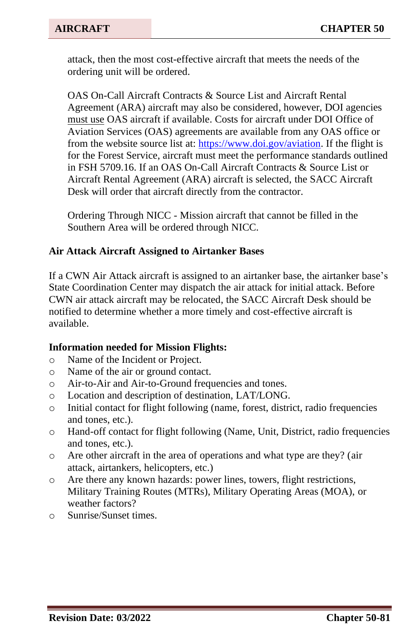attack, then the most cost-effective aircraft that meets the needs of the ordering unit will be ordered.

OAS On-Call Aircraft Contracts & Source List and Aircraft Rental Agreement (ARA) aircraft may also be considered, however, DOI agencies must use OAS aircraft if available. Costs for aircraft under DOI Office of Aviation Services (OAS) agreements are available from any OAS office or from the website source list at: [https://www.doi.gov/aviation.](https://www.doi.gov/aviation) If the flight is for the Forest Service, aircraft must meet the performance standards outlined in FSH 5709.16. If an OAS On-Call Aircraft Contracts & Source List or Aircraft Rental Agreement (ARA) aircraft is selected, the SACC Aircraft Desk will order that aircraft directly from the contractor.

Ordering Through NICC - Mission aircraft that cannot be filled in the Southern Area will be ordered through NICC.

#### **Air Attack Aircraft Assigned to Airtanker Bases**

If a CWN Air Attack aircraft is assigned to an airtanker base, the airtanker base's State Coordination Center may dispatch the air attack for initial attack. Before CWN air attack aircraft may be relocated, the SACC Aircraft Desk should be notified to determine whether a more timely and cost-effective aircraft is available.

#### **Information needed for Mission Flights:**

- o Name of the Incident or Project.
- o Name of the air or ground contact.
- o Air-to-Air and Air-to-Ground frequencies and tones.
- o Location and description of destination, LAT/LONG.
- o Initial contact for flight following (name, forest, district, radio frequencies and tones, etc.).
- o Hand-off contact for flight following (Name, Unit, District, radio frequencies and tones, etc.).
- o Are other aircraft in the area of operations and what type are they? (air attack, airtankers, helicopters, etc.)
- o Are there any known hazards: power lines, towers, flight restrictions, Military Training Routes (MTRs), Military Operating Areas (MOA), or weather factors?
- o Sunrise/Sunset times.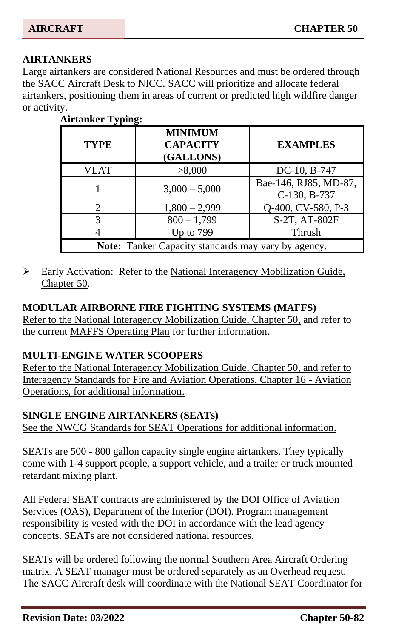## **AIRTANKERS**

Large airtankers are considered National Resources and must be ordered through the SACC Aircraft Desk to NICC. SACC will prioritize and allocate federal airtankers, positioning them in areas of current or predicted high wildfire danger or activity.

| $\cdots$                                            |                                                |                                       |  |  |  |
|-----------------------------------------------------|------------------------------------------------|---------------------------------------|--|--|--|
| <b>TYPE</b>                                         | <b>MINIMUM</b><br><b>CAPACITY</b><br>(GALLONS) | <b>EXAMPLES</b>                       |  |  |  |
| VLAT                                                | >8,000                                         | DC-10, B-747                          |  |  |  |
|                                                     | $3,000 - 5,000$                                | Bae-146, RJ85, MD-87,<br>C-130, B-737 |  |  |  |
| っ                                                   | $1,800 - 2,999$                                | Q-400, CV-580, P-3                    |  |  |  |
| 3                                                   | $800 - 1,799$                                  | S-2T, AT-802F                         |  |  |  |
|                                                     | Up to $799$                                    | Thrush                                |  |  |  |
| Note: Tanker Capacity standards may vary by agency. |                                                |                                       |  |  |  |

# **Airtanker Typing:**

➢ Early Activation: Refer to the National Interagency Mobilization Guide, Chapter 50.

#### **MODULAR AIRBORNE FIRE FIGHTING SYSTEMS (MAFFS)**

Refer to the National Interagency Mobilization Guide, Chapter 50, and refer to the current MAFFS Operating Plan for further information.

#### **MULTI-ENGINE WATER SCOOPERS**

Refer to the National Interagency Mobilization Guide, Chapter 50, and refer to Interagency Standards for Fire and Aviation Operations, Chapter 16 - Aviation Operations, for additional information.

#### **SINGLE ENGINE AIRTANKERS (SEATs)**

See the NWCG Standards for SEAT Operations for additional information.

SEATs are 500 - 800 gallon capacity single engine airtankers. They typically come with 1-4 support people, a support vehicle, and a trailer or truck mounted retardant mixing plant.

All Federal SEAT contracts are administered by the DOI Office of Aviation Services (OAS), Department of the Interior (DOI). Program management responsibility is vested with the DOI in accordance with the lead agency concepts. SEATs are not considered national resources.

SEATs will be ordered following the normal Southern Area Aircraft Ordering matrix. A SEAT manager must be ordered separately as an Overhead request. The SACC Aircraft desk will coordinate with the National SEAT Coordinator for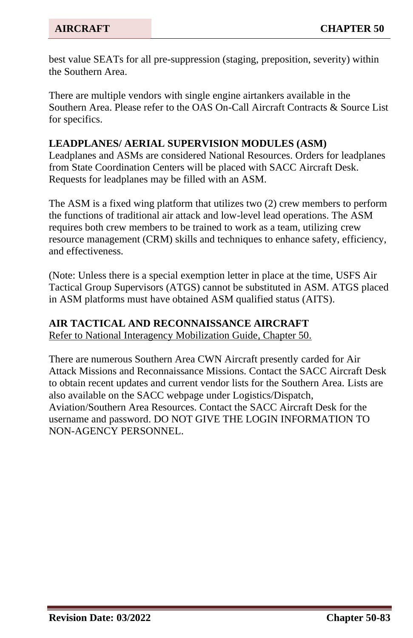best value SEATs for all pre-suppression (staging, preposition, severity) within the Southern Area.

There are multiple vendors with single engine airtankers available in the Southern Area. Please refer to the OAS On-Call Aircraft Contracts & Source List for specifics.

#### **LEADPLANES/ AERIAL SUPERVISION MODULES (ASM)**

Leadplanes and ASMs are considered National Resources. Orders for leadplanes from State Coordination Centers will be placed with SACC Aircraft Desk. Requests for leadplanes may be filled with an ASM.

The ASM is a fixed wing platform that utilizes two (2) crew members to perform the functions of traditional air attack and low-level lead operations. The ASM requires both crew members to be trained to work as a team, utilizing crew resource management (CRM) skills and techniques to enhance safety, efficiency, and effectiveness.

(Note: Unless there is a special exemption letter in place at the time, USFS Air Tactical Group Supervisors (ATGS) cannot be substituted in ASM. ATGS placed in ASM platforms must have obtained ASM qualified status (AITS).

#### **AIR TACTICAL AND RECONNAISSANCE AIRCRAFT**

Refer to National Interagency Mobilization Guide, Chapter 50.

There are numerous Southern Area CWN Aircraft presently carded for Air Attack Missions and Reconnaissance Missions. Contact the SACC Aircraft Desk to obtain recent updates and current vendor lists for the Southern Area. Lists are also available on the SACC webpage under Logistics/Dispatch, Aviation/Southern Area Resources. Contact the SACC Aircraft Desk for the username and password. DO NOT GIVE THE LOGIN INFORMATION TO NON-AGENCY PERSONNEL.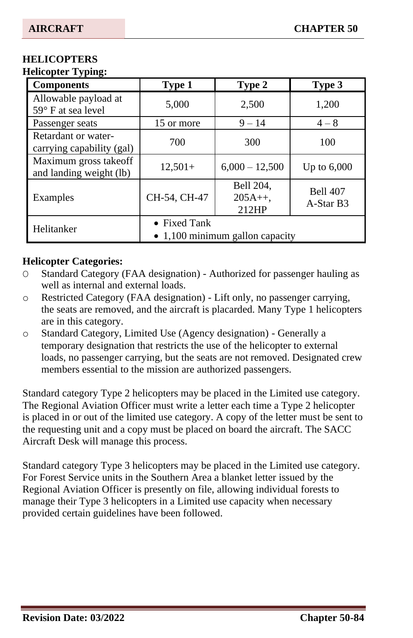#### **HELICOPTERS Helicopter Typing:**

| <b>Components</b>                                 | Type 1                                                  | Type 2                         | Type 3                       |  |
|---------------------------------------------------|---------------------------------------------------------|--------------------------------|------------------------------|--|
| Allowable payload at<br>$59^\circ$ F at sea level | 5,000                                                   | 2,500                          | 1,200                        |  |
| Passenger seats                                   | 15 or more                                              | $9 - 14$                       | $4 - 8$                      |  |
| Retardant or water-<br>carrying capability (gal)  | 700                                                     | 300                            | 100                          |  |
| Maximum gross takeoff<br>and landing weight (lb)  | $12,501+$                                               | $6,000 - 12,500$               | Up to $6,000$                |  |
| Examples                                          | CH-54, CH-47                                            | Bell 204,<br>$205A++$<br>212HP | <b>Bell 407</b><br>A-Star B3 |  |
| Helitanker                                        | • Fixed Tank<br>$\bullet$ 1,100 minimum gallon capacity |                                |                              |  |

#### **Helicopter Categories:**

- O Standard Category (FAA designation) Authorized for passenger hauling as well as internal and external loads.
- o Restricted Category (FAA designation) Lift only, no passenger carrying, the seats are removed, and the aircraft is placarded. Many Type 1 helicopters are in this category.
- o Standard Category, Limited Use (Agency designation) Generally a temporary designation that restricts the use of the helicopter to external loads, no passenger carrying, but the seats are not removed. Designated crew members essential to the mission are authorized passengers.

Standard category Type 2 helicopters may be placed in the Limited use category. The Regional Aviation Officer must write a letter each time a Type 2 helicopter is placed in or out of the limited use category. A copy of the letter must be sent to the requesting unit and a copy must be placed on board the aircraft. The SACC Aircraft Desk will manage this process.

Standard category Type 3 helicopters may be placed in the Limited use category. For Forest Service units in the Southern Area a blanket letter issued by the Regional Aviation Officer is presently on file, allowing individual forests to manage their Type 3 helicopters in a Limited use capacity when necessary provided certain guidelines have been followed.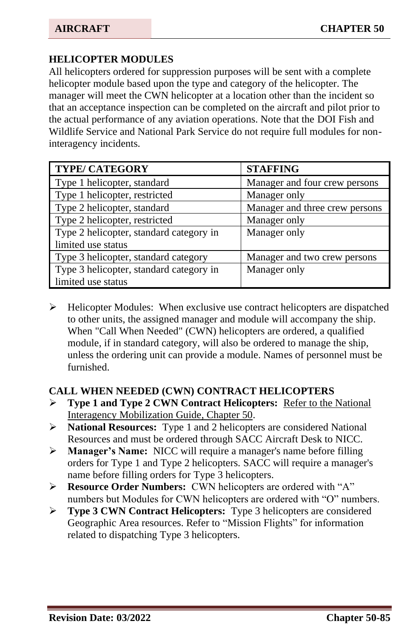## **HELICOPTER MODULES**

All helicopters ordered for suppression purposes will be sent with a complete helicopter module based upon the type and category of the helicopter. The manager will meet the CWN helicopter at a location other than the incident so that an acceptance inspection can be completed on the aircraft and pilot prior to the actual performance of any aviation operations. Note that the DOI Fish and Wildlife Service and National Park Service do not require full modules for noninteragency incidents.

| <b>TYPE/ CATEGORY</b>                   | <b>STAFFING</b>                |
|-----------------------------------------|--------------------------------|
| Type 1 helicopter, standard             | Manager and four crew persons  |
| Type 1 helicopter, restricted           | Manager only                   |
| Type 2 helicopter, standard             | Manager and three crew persons |
| Type 2 helicopter, restricted           | Manager only                   |
| Type 2 helicopter, standard category in | Manager only                   |
| limited use status                      |                                |
| Type 3 helicopter, standard category    | Manager and two crew persons   |
| Type 3 helicopter, standard category in | Manager only                   |
| limited use status                      |                                |

➢ Helicopter Modules: When exclusive use contract helicopters are dispatched to other units, the assigned manager and module will accompany the ship. When "Call When Needed" (CWN) helicopters are ordered, a qualified module, if in standard category, will also be ordered to manage the ship, unless the ordering unit can provide a module. Names of personnel must be furnished.

#### **CALL WHEN NEEDED (CWN) CONTRACT HELICOPTERS**

- ➢ **Type 1 and Type 2 CWN Contract Helicopters:** Refer to the National Interagency Mobilization Guide, Chapter 50.
- ➢ **National Resources:** Type 1 and 2 helicopters are considered National Resources and must be ordered through SACC Aircraft Desk to NICC.
- ➢ **Manager's Name:** NICC will require a manager's name before filling orders for Type 1 and Type 2 helicopters. SACC will require a manager's name before filling orders for Type 3 helicopters.
- ➢ **Resource Order Numbers:** CWN helicopters are ordered with "A" numbers but Modules for CWN helicopters are ordered with "O" numbers.
- ➢ **Type 3 CWN Contract Helicopters:** Type 3 helicopters are considered Geographic Area resources. Refer to "Mission Flights" for information related to dispatching Type 3 helicopters.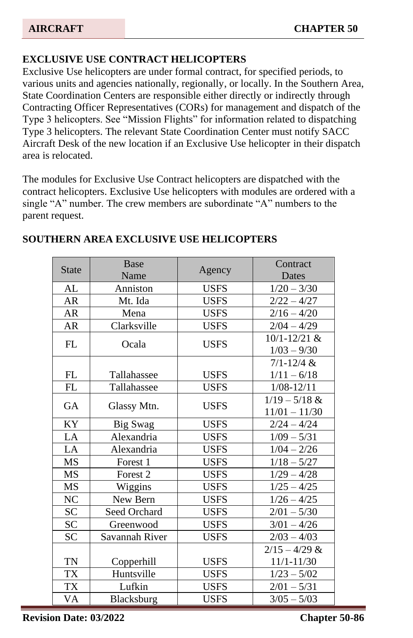# **EXCLUSIVE USE CONTRACT HELICOPTERS**

Exclusive Use helicopters are under formal contract, for specified periods, to various units and agencies nationally, regionally, or locally. In the Southern Area, State Coordination Centers are responsible either directly or indirectly through Contracting Officer Representatives (CORs) for management and dispatch of the Type 3 helicopters. See "Mission Flights" for information related to dispatching Type 3 helicopters. The relevant State Coordination Center must notify SACC Aircraft Desk of the new location if an Exclusive Use helicopter in their dispatch area is relocated.

The modules for Exclusive Use Contract helicopters are dispatched with the contract helicopters. Exclusive Use helicopters with modules are ordered with a single "A" number. The crew members are subordinate "A" numbers to the parent request.

| <b>State</b> | <b>Base</b>     |             | Contract        |  |
|--------------|-----------------|-------------|-----------------|--|
|              | Name            | Agency      | Dates           |  |
| AL           | Anniston        | <b>USFS</b> | $1/20 - 3/30$   |  |
| AR           | Mt. Ida         | <b>USFS</b> | $2/22 - 4/27$   |  |
| AR           | Mena            | <b>USFS</b> | $2/16 - 4/20$   |  |
| AR           | Clarksville     | <b>USFS</b> | $2/04 - 4/29$   |  |
| FL           | Ocala           | <b>USFS</b> | 10/1-12/21 &    |  |
|              |                 |             | $1/03 - 9/30$   |  |
|              |                 |             | $7/1 - 12/4$ &  |  |
| FL           | Tallahassee     | <b>USFS</b> | $1/11 - 6/18$   |  |
| FL           | Tallahassee     | <b>USFS</b> | $1/08 - 12/11$  |  |
| GA           |                 | <b>USFS</b> | $1/19 - 5/18$ & |  |
|              | Glassy Mtn.     |             | $11/01 - 11/30$ |  |
| <b>KY</b>    | <b>Big Swag</b> | <b>USFS</b> | $2/24 - 4/24$   |  |
| LA           | Alexandria      | <b>USFS</b> | $1/09 - 5/31$   |  |
| LA           | Alexandria      | <b>USES</b> | $1/04 - 2/26$   |  |
| <b>MS</b>    | Forest 1        | <b>USES</b> | $1/18 - 5/27$   |  |
| MS           | Forest 2        | <b>USFS</b> | $1/29 - 4/28$   |  |
| <b>MS</b>    | Wiggins         | <b>USES</b> | $1/25 - 4/25$   |  |
| NC           | New Bern        | <b>USFS</b> | $1/26 - 4/25$   |  |
| <b>SC</b>    | Seed Orchard    | <b>USFS</b> | $2/01 - 5/30$   |  |
| <b>SC</b>    | Greenwood       | <b>USES</b> | $3/01 - 4/26$   |  |
| <b>SC</b>    | Savannah River  | <b>USFS</b> | $2/03 - 4/03$   |  |
|              |                 |             | $2/15 - 4/29$ & |  |
| <b>TN</b>    | Copperhill      | <b>USFS</b> | $11/1 - 11/30$  |  |
| <b>TX</b>    | Huntsville      | <b>USFS</b> | $1/23 - 5/02$   |  |
| <b>TX</b>    | Lufkin          | <b>USFS</b> | $2/01 - 5/31$   |  |
| VA           | Blacksburg      | <b>USES</b> | $3/05 - 5/03$   |  |

#### **SOUTHERN AREA EXCLUSIVE USE HELICOPTERS**

**Revision Date: 03/2022 Chapter 50-86**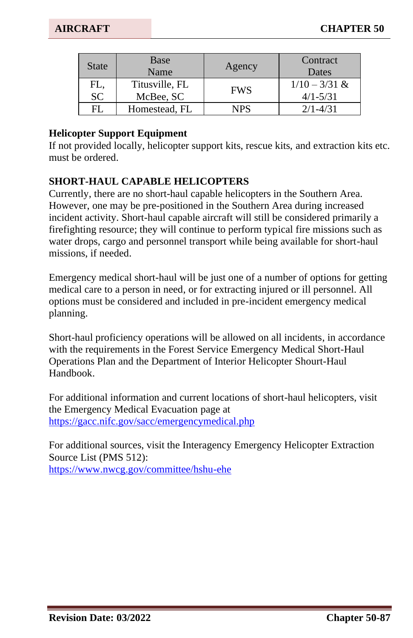| <b>State</b>     | Base<br>Name                | Agency     | Contract<br>Dates               |
|------------------|-----------------------------|------------|---------------------------------|
| FL,<br><b>SC</b> | Titusville, FL<br>McBee, SC | <b>FWS</b> | $1/10 - 3/31$ &<br>$4/1 - 5/31$ |
| FL               | Homestead, FL               | NPS        | $2/1 - 4/31$                    |

#### **Helicopter Support Equipment**

If not provided locally, helicopter support kits, rescue kits, and extraction kits etc. must be ordered.

#### **SHORT-HAUL CAPABLE HELICOPTERS**

Currently, there are no short-haul capable helicopters in the Southern Area. However, one may be pre-positioned in the Southern Area during increased incident activity. Short-haul capable aircraft will still be considered primarily a firefighting resource; they will continue to perform typical fire missions such as water drops, cargo and personnel transport while being available for short-haul missions, if needed.

Emergency medical short-haul will be just one of a number of options for getting medical care to a person in need, or for extracting injured or ill personnel. All options must be considered and included in pre-incident emergency medical planning.

Short-haul proficiency operations will be allowed on all incidents, in accordance with the requirements in the Forest Service Emergency Medical Short-Haul Operations Plan and the Department of Interior Helicopter Shourt-Haul Handbook.

For additional information and current locations of short-haul helicopters, visit the Emergency Medical Evacuation page at <https://gacc.nifc.gov/sacc/emergencymedical.php>

For additional sources, visit the Interagency Emergency Helicopter Extraction Source List (PMS 512): <https://www.nwcg.gov/committee/hshu-ehe>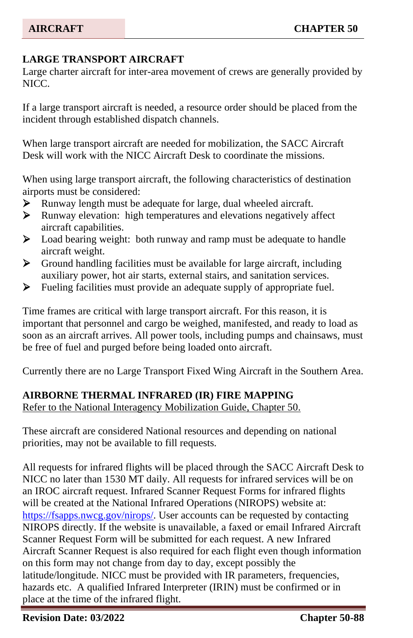## **LARGE TRANSPORT AIRCRAFT**

Large charter aircraft for inter-area movement of crews are generally provided by NICC.

If a large transport aircraft is needed, a resource order should be placed from the incident through established dispatch channels.

When large transport aircraft are needed for mobilization, the SACC Aircraft Desk will work with the NICC Aircraft Desk to coordinate the missions.

When using large transport aircraft, the following characteristics of destination airports must be considered:

- ➢ Runway length must be adequate for large, dual wheeled aircraft.
- ➢ Runway elevation: high temperatures and elevations negatively affect aircraft capabilities.
- ➢ Load bearing weight: both runway and ramp must be adequate to handle aircraft weight.
- ➢ Ground handling facilities must be available for large aircraft, including auxiliary power, hot air starts, external stairs, and sanitation services.
- ➢ Fueling facilities must provide an adequate supply of appropriate fuel.

Time frames are critical with large transport aircraft. For this reason, it is important that personnel and cargo be weighed, manifested, and ready to load as soon as an aircraft arrives. All power tools, including pumps and chainsaws, must be free of fuel and purged before being loaded onto aircraft.

Currently there are no Large Transport Fixed Wing Aircraft in the Southern Area.

#### **AIRBORNE THERMAL INFRARED (IR) FIRE MAPPING**

Refer to the National Interagency Mobilization Guide, Chapter 50.

These aircraft are considered National resources and depending on national priorities, may not be available to fill requests.

All requests for infrared flights will be placed through the SACC Aircraft Desk to NICC no later than 1530 MT daily. All requests for infrared services will be on an IROC aircraft request. Infrared Scanner Request Forms for infrared flights will be created at the National Infrared Operations (NIROPS) website at: [https://fsapps.nwcg.gov/nirops/.](https://fsapps.nwcg.gov/nirops/) User accounts can be requested by contacting NIROPS directly. If the website is unavailable, a faxed or email Infrared Aircraft Scanner Request Form will be submitted for each request. A new Infrared Aircraft Scanner Request is also required for each flight even though information on this form may not change from day to day, except possibly the latitude/longitude. NICC must be provided with IR parameters, frequencies, hazards etc. A qualified Infrared Interpreter (IRIN) must be confirmed or in place at the time of the infrared flight.

**Revision Date: 03/2022 Chapter 50-88**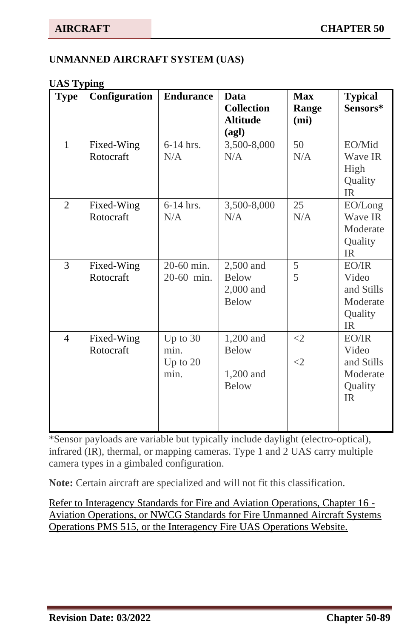#### **UNMANNED AIRCRAFT SYSTEM (UAS)**

#### **UAS Typing**

| <b>Type</b>    | Configuration           | <b>Endurance</b>                       | Data<br><b>Collection</b><br><b>Altitude</b><br>(agl)  | <b>Max</b><br>Range<br>(m <sub>i</sub> ) | <b>Typical</b><br>Sensors*                                          |
|----------------|-------------------------|----------------------------------------|--------------------------------------------------------|------------------------------------------|---------------------------------------------------------------------|
| $\mathbf{1}$   | Fixed-Wing<br>Rotocraft | $6-14$ hrs.<br>N/A                     | 3,500-8,000<br>N/A                                     | 50<br>N/A                                | EO/Mid<br>Wave IR<br>High<br>Quality<br><b>IR</b>                   |
| $\overline{2}$ | Fixed-Wing<br>Rotocraft | $6-14$ hrs.<br>N/A                     | 3,500-8,000<br>N/A                                     | 25<br>N/A                                | EO/Long<br>Wave IR<br>Moderate<br>Quality<br><b>IR</b>              |
| 3              | Fixed-Wing<br>Rotocraft | 20-60 min.<br>20-60 min.               | 2,500 and<br><b>Below</b><br>2,000 and<br><b>Below</b> | 5<br>5                                   | $E$ O/IR<br>Video<br>and Stills<br>Moderate<br>Quality<br><b>IR</b> |
| 4              | Fixed-Wing<br>Rotocraft | Up to $30$<br>min.<br>Up to 20<br>min. | 1,200 and<br><b>Below</b><br>1,200 and<br><b>Below</b> | $\leq$ 2<br>$\leq$ 2                     | $E$ O/IR<br>Video<br>and Stills<br>Moderate<br>Quality<br>IR.       |

\*Sensor payloads are variable but typically include daylight (electro-optical), infrared (IR), thermal, or mapping cameras. Type 1 and 2 UAS carry multiple camera types in a gimbaled configuration.

**Note:** Certain aircraft are specialized and will not fit this classification.

Refer to Interagency Standards for Fire and Aviation Operations, Chapter 16 - Aviation Operations, or NWCG Standards for Fire Unmanned Aircraft Systems Operations PMS 515, or the Interagency Fire UAS Operations Website.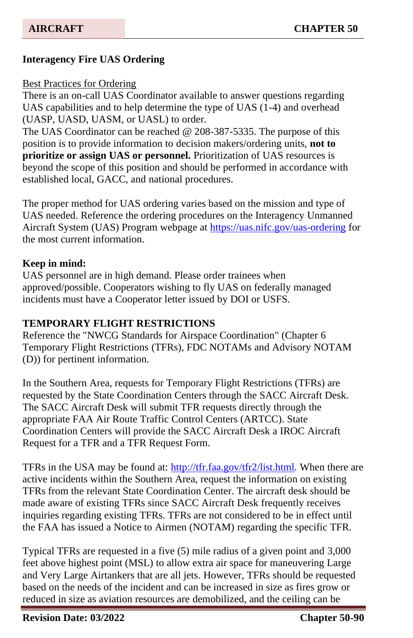## **Interagency Fire UAS Ordering**

#### Best Practices for Ordering

There is an on-call UAS Coordinator available to answer questions regarding UAS capabilities and to help determine the type of UAS (1-4) and overhead (UASP, UASD, UASM, or UASL) to order.

The UAS Coordinator can be reached @ 208-387-5335. The purpose of this position is to provide information to decision makers/ordering units, **not to prioritize or assign UAS or personnel.** Prioritization of UAS resources is beyond the scope of this position and should be performed in accordance with established local, GACC, and national procedures.

The proper method for UAS ordering varies based on the mission and type of UAS needed. Reference the ordering procedures on the Interagency Unmanned Aircraft System (UAS) Program webpage a[t https://uas.nifc.gov/uas-ordering](https://uas.nifc.gov/uas-ordering) for the most current information.

#### **Keep in mind:**

UAS personnel are in high demand. Please order trainees when approved/possible. Cooperators wishing to fly UAS on federally managed incidents must have a Cooperator letter issued by DOI or USFS.

#### **TEMPORARY FLIGHT RESTRICTIONS**

Reference the "NWCG Standards for Airspace Coordination" (Chapter 6 Temporary Flight Restrictions (TFRs), FDC NOTAMs and Advisory NOTAM (D)) for pertinent information.

In the Southern Area, requests for Temporary Flight Restrictions (TFRs) are requested by the State Coordination Centers through the SACC Aircraft Desk. The SACC Aircraft Desk will submit TFR requests directly through the appropriate FAA Air Route Traffic Control Centers (ARTCC). State Coordination Centers will provide the SACC Aircraft Desk a IROC Aircraft Request for a TFR and a TFR Request Form.

TFRs in the USA may be found at:<http://tfr.faa.gov/tfr2/list.html>*.* When there are active incidents within the Southern Area, request the information on existing TFRs from the relevant State Coordination Center. The aircraft desk should be made aware of existing TFRs since SACC Aircraft Desk frequently receives inquiries regarding existing TFRs. TFRs are not considered to be in effect until the FAA has issued a Notice to Airmen (NOTAM) regarding the specific TFR.

Typical TFRs are requested in a five (5) mile radius of a given point and 3,000 feet above highest point (MSL) to allow extra air space for maneuvering Large and Very Large Airtankers that are all jets. However, TFRs should be requested based on the needs of the incident and can be increased in size as fires grow or reduced in size as aviation resources are demobilized, and the ceiling can be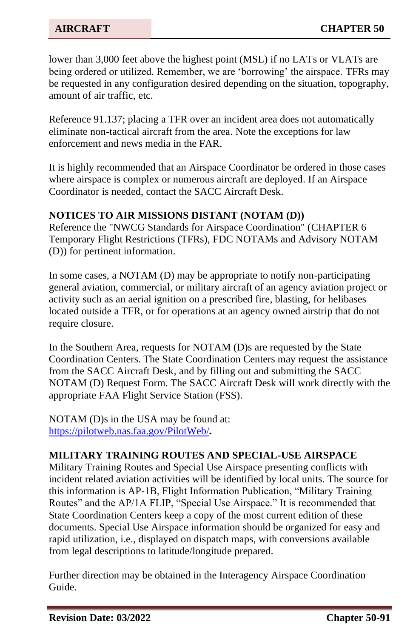lower than 3,000 feet above the highest point (MSL) if no LATs or VLATs are being ordered or utilized. Remember, we are 'borrowing' the airspace. TFRs may be requested in any configuration desired depending on the situation, topography, amount of air traffic, etc.

Reference 91.137; placing a TFR over an incident area does not automatically eliminate non-tactical aircraft from the area. Note the exceptions for law enforcement and news media in the FAR.

It is highly recommended that an Airspace Coordinator be ordered in those cases where airspace is complex or numerous aircraft are deployed. If an Airspace Coordinator is needed, contact the SACC Aircraft Desk.

#### **NOTICES TO AIR MISSIONS DISTANT (NOTAM (D))**

Reference the "NWCG Standards for Airspace Coordination" (CHAPTER 6 Temporary Flight Restrictions (TFRs), FDC NOTAMs and Advisory NOTAM (D)) for pertinent information.

In some cases, a NOTAM (D) may be appropriate to notify non-participating general aviation, commercial, or military aircraft of an agency aviation project or activity such as an aerial ignition on a prescribed fire, blasting, for helibases located outside a TFR, or for operations at an agency owned airstrip that do not require closure.

In the Southern Area, requests for NOTAM (D)s are requested by the State Coordination Centers. The State Coordination Centers may request the assistance from the SACC Aircraft Desk, and by filling out and submitting the SACC NOTAM (D) Request Form. The SACC Aircraft Desk will work directly with the appropriate FAA Flight Service Station (FSS).

NOTAM (D)s in the USA may be found at: <https://pilotweb.nas.faa.gov/PilotWeb/>*.*

## **MILITARY TRAINING ROUTES AND SPECIAL-USE AIRSPACE**

Military Training Routes and Special Use Airspace presenting conflicts with incident related aviation activities will be identified by local units. The source for this information is AP-1B, Flight Information Publication, "Military Training Routes" and the AP/1A FLIP, "Special Use Airspace." It is recommended that State Coordination Centers keep a copy of the most current edition of these documents. Special Use Airspace information should be organized for easy and rapid utilization, i.e., displayed on dispatch maps, with conversions available from legal descriptions to latitude/longitude prepared.

Further direction may be obtained in the Interagency Airspace Coordination Guide.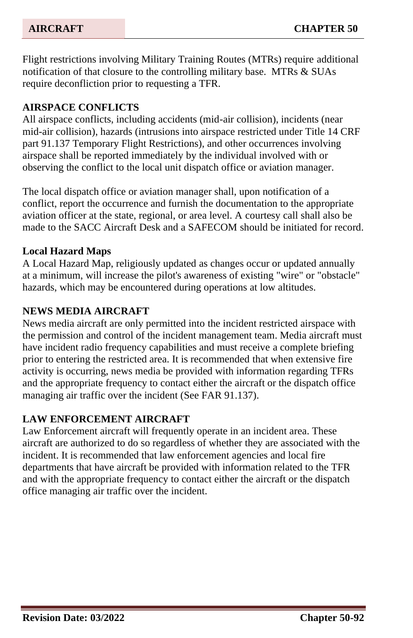Flight restrictions involving Military Training Routes (MTRs) require additional notification of that closure to the controlling military base. MTRs & SUAs require deconfliction prior to requesting a TFR.

# **AIRSPACE CONFLICTS**

All airspace conflicts, including accidents (mid-air collision), incidents (near mid-air collision), hazards (intrusions into airspace restricted under Title 14 CRF part 91.137 Temporary Flight Restrictions), and other occurrences involving airspace shall be reported immediately by the individual involved with or observing the conflict to the local unit dispatch office or aviation manager.

The local dispatch office or aviation manager shall, upon notification of a conflict, report the occurrence and furnish the documentation to the appropriate aviation officer at the state, regional, or area level. A courtesy call shall also be made to the SACC Aircraft Desk and a SAFECOM should be initiated for record.

## **Local Hazard Maps**

A Local Hazard Map, religiously updated as changes occur or updated annually at a minimum, will increase the pilot's awareness of existing "wire" or "obstacle" hazards, which may be encountered during operations at low altitudes.

## **NEWS MEDIA AIRCRAFT**

News media aircraft are only permitted into the incident restricted airspace with the permission and control of the incident management team. Media aircraft must have incident radio frequency capabilities and must receive a complete briefing prior to entering the restricted area. It is recommended that when extensive fire activity is occurring, news media be provided with information regarding TFRs and the appropriate frequency to contact either the aircraft or the dispatch office managing air traffic over the incident (See FAR 91.137).

## **LAW ENFORCEMENT AIRCRAFT**

Law Enforcement aircraft will frequently operate in an incident area. These aircraft are authorized to do so regardless of whether they are associated with the incident. It is recommended that law enforcement agencies and local fire departments that have aircraft be provided with information related to the TFR and with the appropriate frequency to contact either the aircraft or the dispatch office managing air traffic over the incident.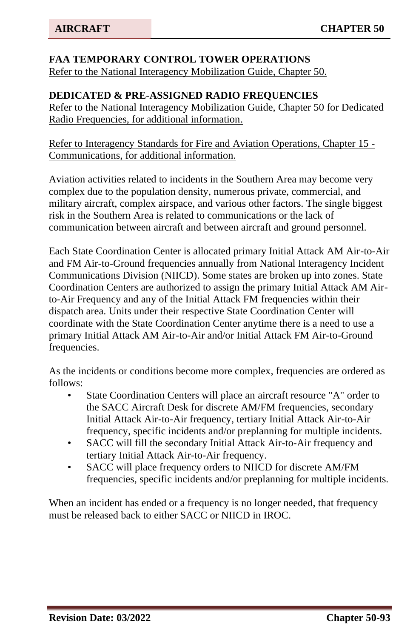# **FAA TEMPORARY CONTROL TOWER OPERATIONS**

Refer to the National Interagency Mobilization Guide, Chapter 50.

#### **DEDICATED & PRE-ASSIGNED RADIO FREQUENCIES**

Refer to the National Interagency Mobilization Guide, Chapter 50 for Dedicated Radio Frequencies, for additional information.

Refer to Interagency Standards for Fire and Aviation Operations, Chapter 15 - Communications, for additional information.

Aviation activities related to incidents in the Southern Area may become very complex due to the population density, numerous private, commercial, and military aircraft, complex airspace, and various other factors. The single biggest risk in the Southern Area is related to communications or the lack of communication between aircraft and between aircraft and ground personnel.

Each State Coordination Center is allocated primary Initial Attack AM Air-to-Air and FM Air-to-Ground frequencies annually from National Interagency Incident Communications Division (NIICD). Some states are broken up into zones. State Coordination Centers are authorized to assign the primary Initial Attack AM Airto-Air Frequency and any of the Initial Attack FM frequencies within their dispatch area. Units under their respective State Coordination Center will coordinate with the State Coordination Center anytime there is a need to use a primary Initial Attack AM Air-to-Air and/or Initial Attack FM Air-to-Ground frequencies.

As the incidents or conditions become more complex, frequencies are ordered as follows:

- State Coordination Centers will place an aircraft resource "A" order to the SACC Aircraft Desk for discrete AM/FM frequencies, secondary Initial Attack Air-to-Air frequency, tertiary Initial Attack Air-to-Air frequency, specific incidents and/or preplanning for multiple incidents.
- SACC will fill the secondary Initial Attack Air-to-Air frequency and tertiary Initial Attack Air-to-Air frequency.
- SACC will place frequency orders to NIICD for discrete AM/FM frequencies, specific incidents and/or preplanning for multiple incidents.

When an incident has ended or a frequency is no longer needed, that frequency must be released back to either SACC or NIICD in IROC.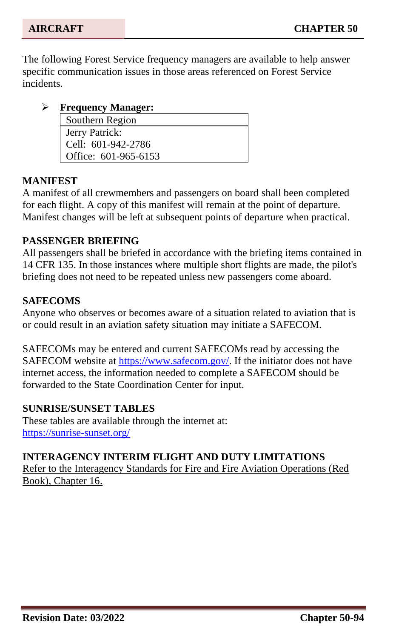The following Forest Service frequency managers are available to help answer specific communication issues in those areas referenced on Forest Service incidents.

➢ **Frequency Manager:** Southern Region

Jerry Patrick: Cell: 601-942-2786 Office: 601-965-6153

## **MANIFEST**

A manifest of all crewmembers and passengers on board shall been completed for each flight. A copy of this manifest will remain at the point of departure. Manifest changes will be left at subsequent points of departure when practical.

## **PASSENGER BRIEFING**

All passengers shall be briefed in accordance with the briefing items contained in 14 CFR 135. In those instances where multiple short flights are made, the pilot's briefing does not need to be repeated unless new passengers come aboard.

# **SAFECOMS**

Anyone who observes or becomes aware of a situation related to aviation that is or could result in an aviation safety situation may initiate a SAFECOM.

SAFECOMs may be entered and current SAFECOMs read by accessing the SAFECOM website at [https://www.safecom.gov/.](https://www.safecom.gov/) If the initiator does not have internet access, the information needed to complete a SAFECOM should be forwarded to the State Coordination Center for input.

## **SUNRISE/SUNSET TABLES**

These tables are available through the internet at: <https://sunrise-sunset.org/>

## **INTERAGENCY INTERIM FLIGHT AND DUTY LIMITATIONS**

Refer to the Interagency Standards for Fire and Fire Aviation Operations (Red Book), Chapter 16.